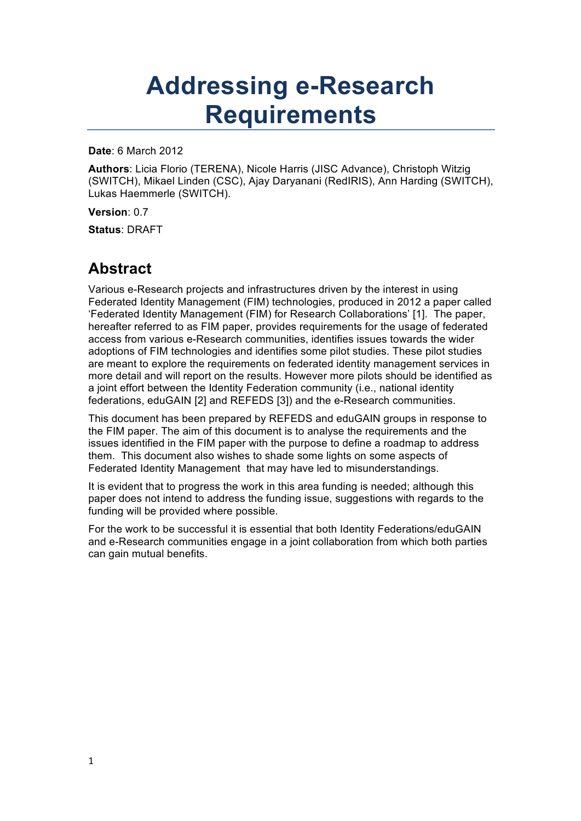# **Addressing e-Research Requirements**

**Date**: 6 March 2012

**Authors**: Licia Florio (TERENA), Nicole Harris (JISC Advance), Christoph Witzig (SWITCH), Mikael Linden (CSC), Ajay Daryanani (RedIRIS), Ann Harding (SWITCH), Lukas Haemmerle (SWITCH).

**Version**: 0.7

**Status**: DRAFT

### **Abstract**

Various e-Research projects and infrastructures driven by the interest in using Federated Identity Management (FIM) technologies, produced in 2012 a paper called 'Federated Identity Management (FIM) for Research Collaborations' [1]. The paper, hereafter referred to as FIM paper, provides requirements for the usage of federated access from various e-Research communities, identifies issues towards the wider adoptions of FIM technologies and identifies some pilot studies. These pilot studies are meant to explore the requirements on federated identity management services in more detail and will report on the results. However more pilots should be identified as a joint effort between the Identity Federation community (i.e., national identity federations, eduGAIN [2] and REFEDS [3]) and the e-Research communities.

This document has been prepared by REFEDS and eduGAIN groups in response to the FIM paper. The aim of this document is to analyse the requirements and the issues identified in the FIM paper with the purpose to define a roadmap to address them. This document also wishes to shade some lights on some aspects of Federated Identity Management that may have led to misunderstandings.

It is evident that to progress the work in this area funding is needed; although this paper does not intend to address the funding issue, suggestions with regards to the funding will be provided where possible.

For the work to be successful it is essential that both Identity Federations/eduGAIN and e-Research communities engage in a joint collaboration from which both parties can gain mutual benefits.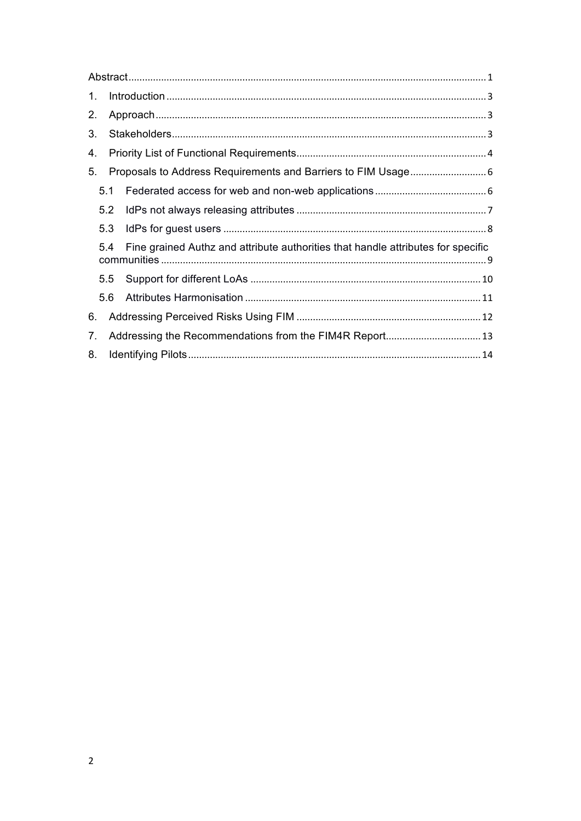| $\mathbf{1}$ . |               |                                                                                  |  |  |
|----------------|---------------|----------------------------------------------------------------------------------|--|--|
| 2.             |               |                                                                                  |  |  |
| 3.             |               |                                                                                  |  |  |
| 4.             |               |                                                                                  |  |  |
| 5.             |               |                                                                                  |  |  |
|                | 5.1           |                                                                                  |  |  |
|                | 5.2           |                                                                                  |  |  |
|                |               |                                                                                  |  |  |
|                | 5.3           |                                                                                  |  |  |
|                | 5.4           | Fine grained Authz and attribute authorities that handle attributes for specific |  |  |
|                | $5.5^{\circ}$ |                                                                                  |  |  |
|                | 5.6           |                                                                                  |  |  |
| 6.             |               |                                                                                  |  |  |
| 7.             |               |                                                                                  |  |  |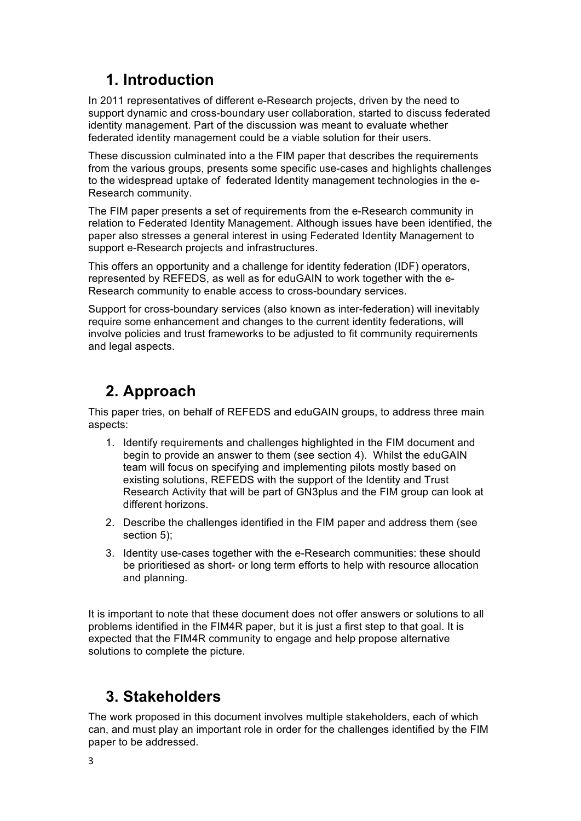# **1. Introduction**

In 2011 representatives of different e-Research projects, driven by the need to support dynamic and cross-boundary user collaboration, started to discuss federated identity management. Part of the discussion was meant to evaluate whether federated identity management could be a viable solution for their users.

These discussion culminated into a the FIM paper that describes the requirements from the various groups, presents some specific use-cases and highlights challenges to the widespread uptake of federated Identity management technologies in the e-Research community.

The FIM paper presents a set of requirements from the e-Research community in relation to Federated Identity Management. Although issues have been identified, the paper also stresses a general interest in using Federated Identity Management to support e-Research projects and infrastructures.

This offers an opportunity and a challenge for identity federation (IDF) operators, represented by REFEDS, as well as for eduGAIN to work together with the e-Research community to enable access to cross-boundary services.

Support for cross-boundary services (also known as inter-federation) will inevitably require some enhancement and changes to the current identity federations, will involve policies and trust frameworks to be adjusted to fit community requirements and legal aspects.

# **2. Approach**

This paper tries, on behalf of REFEDS and eduGAIN groups, to address three main aspects:

- 1. Identify requirements and challenges highlighted in the FIM document and begin to provide an answer to them (see section 4). Whilst the eduGAIN team will focus on specifying and implementing pilots mostly based on existing solutions, REFEDS with the support of the Identity and Trust Research Activity that will be part of GN3plus and the FIM group can look at different horizons.
- 2. Describe the challenges identified in the FIM paper and address them (see section 5);
- 3. Identity use-cases together with the e-Research communities: these should be prioritiesed as short- or long term efforts to help with resource allocation and planning.

It is important to note that these document does not offer answers or solutions to all problems identified in the FIM4R paper, but it is just a first step to that goal. It is expected that the FIM4R community to engage and help propose alternative solutions to complete the picture.

# **3. Stakeholders**

The work proposed in this document involves multiple stakeholders, each of which can, and must play an important role in order for the challenges identified by the FIM paper to be addressed.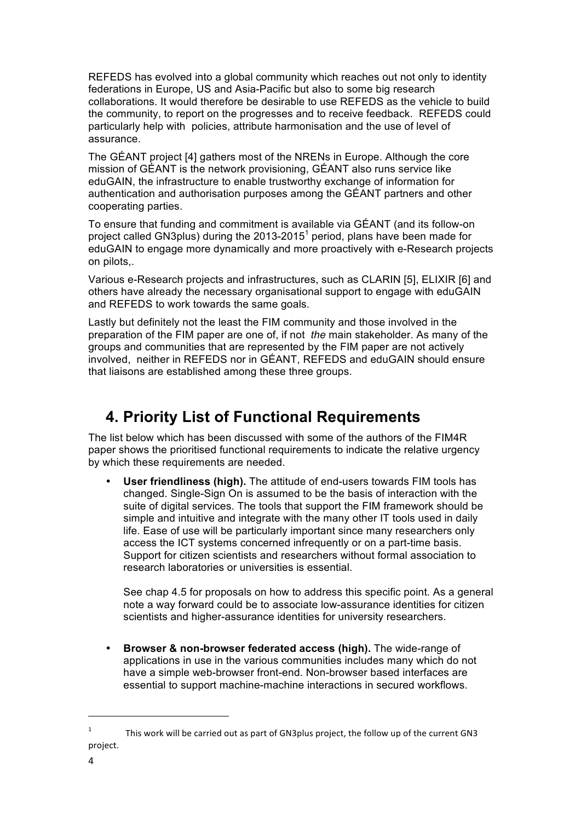REFEDS has evolved into a global community which reaches out not only to identity federations in Europe, US and Asia-Pacific but also to some big research collaborations. It would therefore be desirable to use REFEDS as the vehicle to build the community, to report on the progresses and to receive feedback. REFEDS could particularly help with policies, attribute harmonisation and the use of level of assurance.

The GÉANT project [4] gathers most of the NRENs in Europe. Although the core mission of GÉANT is the network provisioning, GÉANT also runs service like eduGAIN, the infrastructure to enable trustworthy exchange of information for authentication and authorisation purposes among the GÉANT partners and other cooperating parties.

To ensure that funding and commitment is available via GÉANT (and its follow-on project called GN3plus) during the  $2013-2015<sup>1</sup>$  period, plans have been made for eduGAIN to engage more dynamically and more proactively with e-Research projects on pilots,.

Various e-Research projects and infrastructures, such as CLARIN [5], ELIXIR [6] and others have already the necessary organisational support to engage with eduGAIN and REFEDS to work towards the same goals.

Lastly but definitely not the least the FIM community and those involved in the preparation of the FIM paper are one of, if not *the* main stakeholder. As many of the groups and communities that are represented by the FIM paper are not actively involved, neither in REFEDS nor in GÉANT, REFEDS and eduGAIN should ensure that liaisons are established among these three groups.

# **4. Priority List of Functional Requirements**

The list below which has been discussed with some of the authors of the FIM4R paper shows the prioritised functional requirements to indicate the relative urgency by which these requirements are needed.

• **User friendliness (high).** The attitude of end-users towards FIM tools has changed. Single-Sign On is assumed to be the basis of interaction with the suite of digital services. The tools that support the FIM framework should be simple and intuitive and integrate with the many other IT tools used in daily life. Ease of use will be particularly important since many researchers only access the ICT systems concerned infrequently or on a part-time basis. Support for citizen scientists and researchers without formal association to research laboratories or universities is essential.

See chap 4.5 for proposals on how to address this specific point. As a general note a way forward could be to associate low-assurance identities for citizen scientists and higher-assurance identities for university researchers.

• **Browser & non-browser federated access (high).** The wide-range of applications in use in the various communities includes many which do not have a simple web-browser front-end. Non-browser based interfaces are essential to support machine-machine interactions in secured workflows.

<sup>&</sup>lt;sup>1</sup> This work will be carried out as part of GN3plus project, the follow up of the current GN3 project.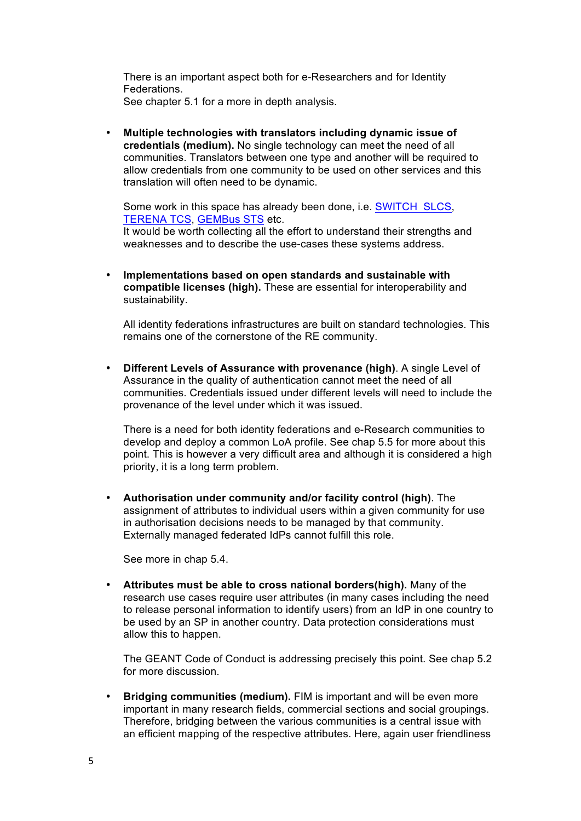There is an important aspect both for e-Researchers and for Identity Federations. See chapter 5.1 for a more in depth analysis.

• **Multiple technologies with translators including dynamic issue of credentials (medium).** No single technology can meet the need of all communities. Translators between one type and another will be required to allow credentials from one community to be used on other services and this translation will often need to be dynamic.

Some work in this space has already been done, i.e. SWITCH SLCS, TERENA TCS, GEMBus STS etc.

It would be worth collecting all the effort to understand their strengths and weaknesses and to describe the use-cases these systems address.

• **Implementations based on open standards and sustainable with compatible licenses (high).** These are essential for interoperability and sustainability.

All identity federations infrastructures are built on standard technologies. This remains one of the cornerstone of the RE community.

• **Different Levels of Assurance with provenance (high)**. A single Level of Assurance in the quality of authentication cannot meet the need of all communities. Credentials issued under different levels will need to include the provenance of the level under which it was issued.

There is a need for both identity federations and e-Research communities to develop and deploy a common LoA profile. See chap 5.5 for more about this point. This is however a very difficult area and although it is considered a high priority, it is a long term problem.

• **Authorisation under community and/or facility control (high)**. The assignment of attributes to individual users within a given community for use in authorisation decisions needs to be managed by that community. Externally managed federated IdPs cannot fulfill this role.

See more in chap 5.4.

• **Attributes must be able to cross national borders(high).** Many of the research use cases require user attributes (in many cases including the need to release personal information to identify users) from an IdP in one country to be used by an SP in another country. Data protection considerations must allow this to happen.

The GEANT Code of Conduct is addressing precisely this point. See chap 5.2 for more discussion.

• **Bridging communities (medium).** FIM is important and will be even more important in many research fields, commercial sections and social groupings. Therefore, bridging between the various communities is a central issue with an efficient mapping of the respective attributes. Here, again user friendliness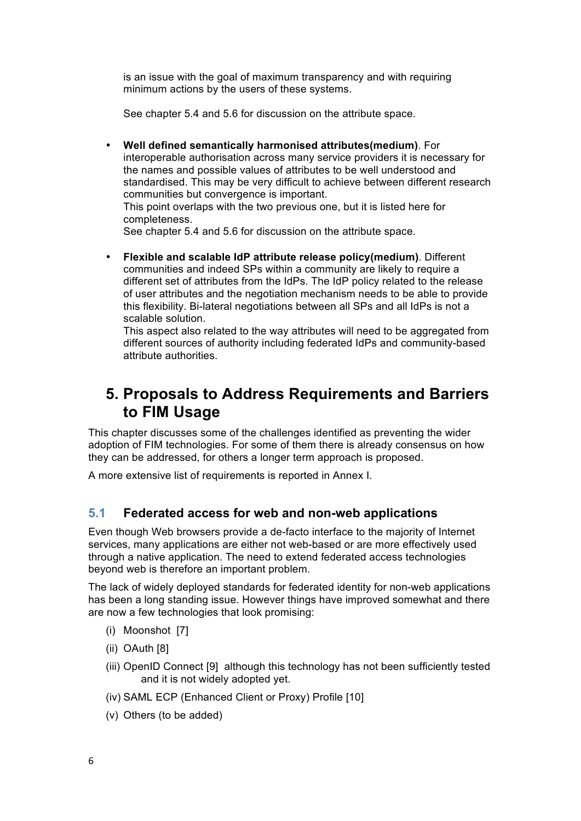is an issue with the goal of maximum transparency and with requiring minimum actions by the users of these systems.

See chapter 5.4 and 5.6 for discussion on the attribute space.

- **Well defined semantically harmonised attributes(medium)**. For interoperable authorisation across many service providers it is necessary for the names and possible values of attributes to be well understood and standardised. This may be very difficult to achieve between different research communities but convergence is important. This point overlaps with the two previous one, but it is listed here for completeness. See chapter 5.4 and 5.6 for discussion on the attribute space.
- **Flexible and scalable IdP attribute release policy(medium)**. Different communities and indeed SPs within a community are likely to require a different set of attributes from the IdPs. The IdP policy related to the release of user attributes and the negotiation mechanism needs to be able to provide this flexibility. Bi-lateral negotiations between all SPs and all IdPs is not a scalable solution.

This aspect also related to the way attributes will need to be aggregated from different sources of authority including federated IdPs and community-based attribute authorities.

# **5. Proposals to Address Requirements and Barriers to FIM Usage**

This chapter discusses some of the challenges identified as preventing the wider adoption of FIM technologies. For some of them there is already consensus on how they can be addressed, for others a longer term approach is proposed.

A more extensive list of requirements is reported in Annex I.

#### **5.1 Federated access for web and non-web applications**

Even though Web browsers provide a de-facto interface to the majority of Internet services, many applications are either not web-based or are more effectively used through a native application. The need to extend federated access technologies beyond web is therefore an important problem.

The lack of widely deployed standards for federated identity for non-web applications has been a long standing issue. However things have improved somewhat and there are now a few technologies that look promising:

- (i) Moonshot [7]
- (ii) OAuth [8]
- (iii) OpenID Connect [9] although this technology has not been sufficiently tested and it is not widely adopted yet.
- (iv) SAML ECP (Enhanced Client or Proxy) Profile [10]
- (v) Others (to be added)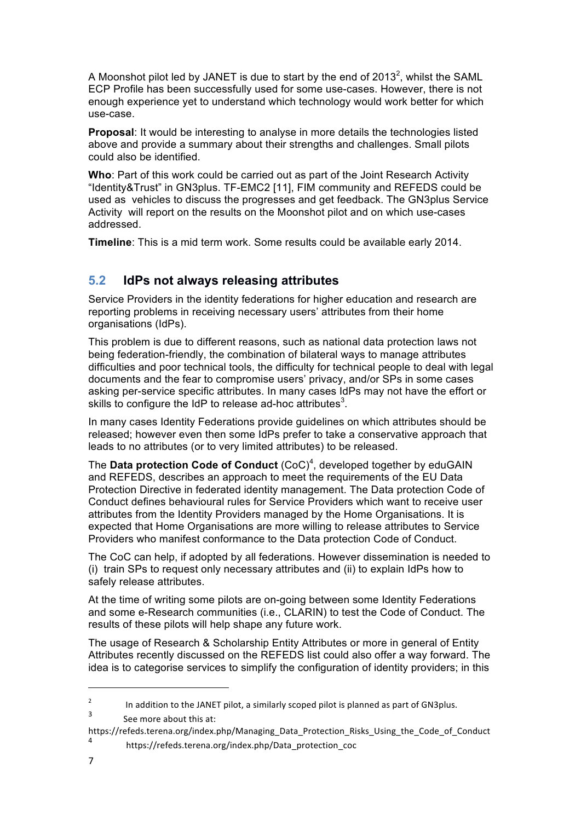A Moonshot pilot led by JANET is due to start by the end of 2013<sup>2</sup>, whilst the SAML ECP Profile has been successfully used for some use-cases. However, there is not enough experience yet to understand which technology would work better for which use-case.

**Proposal**: It would be interesting to analyse in more details the technologies listed above and provide a summary about their strengths and challenges. Small pilots could also be identified.

**Who**: Part of this work could be carried out as part of the Joint Research Activity "Identity&Trust" in GN3plus. TF-EMC2 [11], FIM community and REFEDS could be used as vehicles to discuss the progresses and get feedback. The GN3plus Service Activity will report on the results on the Moonshot pilot and on which use-cases addressed.

**Timeline**: This is a mid term work. Some results could be available early 2014.

#### **5.2 IdPs not always releasing attributes**

Service Providers in the identity federations for higher education and research are reporting problems in receiving necessary users' attributes from their home organisations (IdPs).

This problem is due to different reasons, such as national data protection laws not being federation-friendly, the combination of bilateral ways to manage attributes difficulties and poor technical tools, the difficulty for technical people to deal with legal documents and the fear to compromise users' privacy, and/or SPs in some cases asking per-service specific attributes. In many cases IdPs may not have the effort or skills to configure the IdP to release ad-hoc attributes<sup>3</sup>.

In many cases Identity Federations provide guidelines on which attributes should be released; however even then some IdPs prefer to take a conservative approach that leads to no attributes (or to very limited attributes) to be released.

The Data protection Code of Conduct (CoC)<sup>4</sup>, developed together by eduGAIN and REFEDS, describes an approach to meet the requirements of the EU Data Protection Directive in federated identity management. The Data protection Code of Conduct defines behavioural rules for Service Providers which want to receive user attributes from the Identity Providers managed by the Home Organisations. It is expected that Home Organisations are more willing to release attributes to Service Providers who manifest conformance to the Data protection Code of Conduct.

The CoC can help, if adopted by all federations. However dissemination is needed to (i) train SPs to request only necessary attributes and (ii) to explain IdPs how to safely release attributes.

At the time of writing some pilots are on-going between some Identity Federations and some e-Research communities (i.e., CLARIN) to test the Code of Conduct. The results of these pilots will help shape any future work.

The usage of Research & Scholarship Entity Attributes or more in general of Entity Attributes recently discussed on the REFEDS list could also offer a way forward. The idea is to categorise services to simplify the configuration of identity providers; in this

<sup>2</sup> In addition to the JANET pilot, a similarly scoped pilot is planned as part of GN3plus. See more about this at:

https://refeds.terena.org/index.php/Managing\_Data\_Protection\_Risks\_Using\_the\_Code\_of\_Conduct

https://refeds.terena.org/index.php/Data\_protection\_coc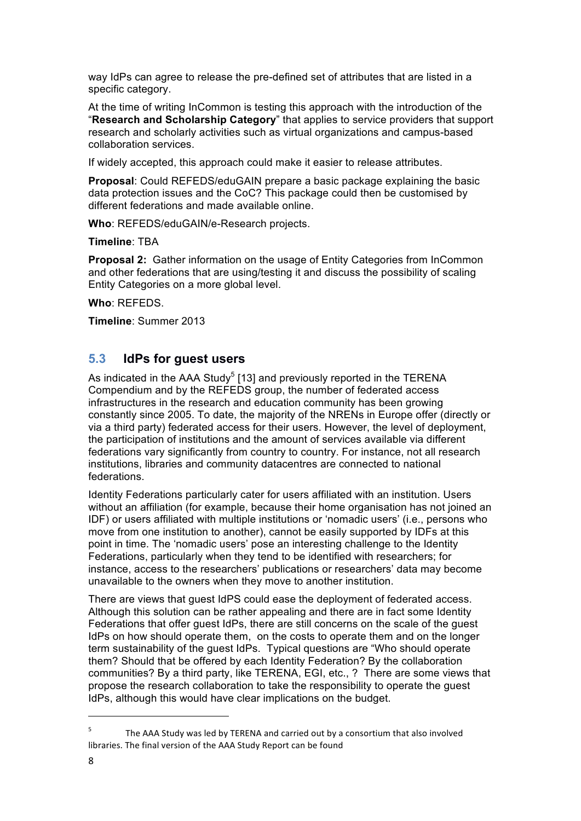way IdPs can agree to release the pre-defined set of attributes that are listed in a specific category.

At the time of writing InCommon is testing this approach with the introduction of the "**Research and Scholarship Category**" that applies to service providers that support research and scholarly activities such as virtual organizations and campus-based collaboration services.

If widely accepted, this approach could make it easier to release attributes.

**Proposal**: Could REFEDS/eduGAIN prepare a basic package explaining the basic data protection issues and the CoC? This package could then be customised by different federations and made available online.

**Who**: REFEDS/eduGAIN/e-Research projects.

**Timeline**: TBA

**Proposal 2:** Gather information on the usage of Entity Categories from InCommon and other federations that are using/testing it and discuss the possibility of scaling Entity Categories on a more global level.

**Who**: REFEDS.

**Timeline**: Summer 2013

#### **5.3 IdPs for guest users**

As indicated in the AAA Study<sup>5</sup> [13] and previously reported in the TERENA Compendium and by the REFEDS group, the number of federated access infrastructures in the research and education community has been growing constantly since 2005. To date, the majority of the NRENs in Europe offer (directly or via a third party) federated access for their users. However, the level of deployment, the participation of institutions and the amount of services available via different federations vary significantly from country to country. For instance, not all research institutions, libraries and community datacentres are connected to national federations.

Identity Federations particularly cater for users affiliated with an institution. Users without an affiliation (for example, because their home organisation has not joined an IDF) or users affiliated with multiple institutions or 'nomadic users' (i.e., persons who move from one institution to another), cannot be easily supported by IDFs at this point in time. The 'nomadic users' pose an interesting challenge to the Identity Federations, particularly when they tend to be identified with researchers; for instance, access to the researchers' publications or researchers' data may become unavailable to the owners when they move to another institution.

There are views that guest IdPS could ease the deployment of federated access. Although this solution can be rather appealing and there are in fact some Identity Federations that offer guest IdPs, there are still concerns on the scale of the guest IdPs on how should operate them, on the costs to operate them and on the longer term sustainability of the guest IdPs. Typical questions are "Who should operate them? Should that be offered by each Identity Federation? By the collaboration communities? By a third party, like TERENA, EGI, etc., ? There are some views that propose the research collaboration to take the responsibility to operate the guest IdPs, although this would have clear implications on the budget.

 $5$  The AAA Study was led by TERENA and carried out by a consortium that also involved libraries. The final version of the AAA Study Report can be found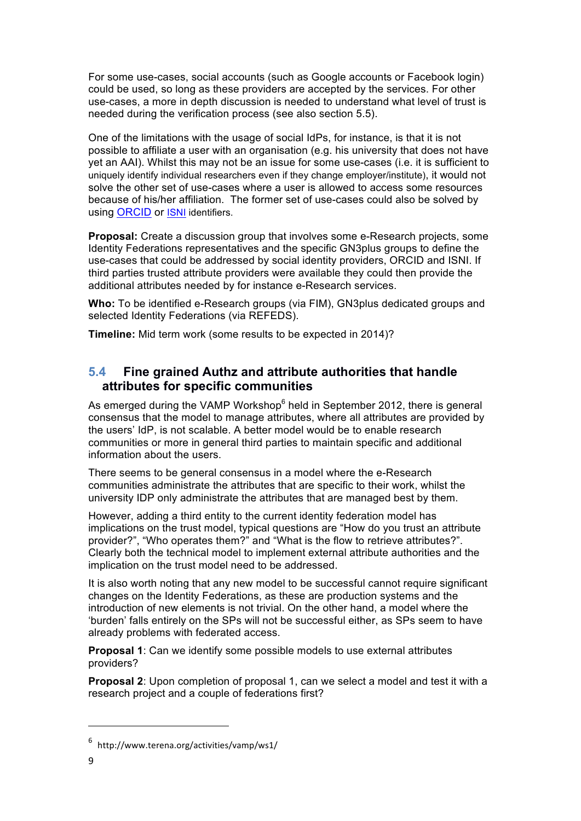For some use-cases, social accounts (such as Google accounts or Facebook login) could be used, so long as these providers are accepted by the services. For other use-cases, a more in depth discussion is needed to understand what level of trust is needed during the verification process (see also section 5.5).

One of the limitations with the usage of social IdPs, for instance, is that it is not possible to affiliate a user with an organisation (e.g. his university that does not have yet an AAI). Whilst this may not be an issue for some use-cases (i.e. it is sufficient to uniquely identify individual researchers even if they change employer/institute), it would not solve the other set of use-cases where a user is allowed to access some resources because of his/her affiliation. The former set of use-cases could also be solved by using ORCID or ISNI identifiers.

**Proposal:** Create a discussion group that involves some e-Research projects, some Identity Federations representatives and the specific GN3plus groups to define the use-cases that could be addressed by social identity providers, ORCID and ISNI. If third parties trusted attribute providers were available they could then provide the additional attributes needed by for instance e-Research services.

**Who:** To be identified e-Research groups (via FIM), GN3plus dedicated groups and selected Identity Federations (via REFEDS).

**Timeline:** Mid term work (some results to be expected in 2014)?

#### **5.4 Fine grained Authz and attribute authorities that handle attributes for specific communities**

As emerged during the VAMP Workshop $<sup>6</sup>$  held in September 2012, there is general</sup> consensus that the model to manage attributes, where all attributes are provided by the users' IdP, is not scalable. A better model would be to enable research communities or more in general third parties to maintain specific and additional information about the users.

There seems to be general consensus in a model where the e-Research communities administrate the attributes that are specific to their work, whilst the university IDP only administrate the attributes that are managed best by them.

However, adding a third entity to the current identity federation model has implications on the trust model, typical questions are "How do you trust an attribute provider?", "Who operates them?" and "What is the flow to retrieve attributes?". Clearly both the technical model to implement external attribute authorities and the implication on the trust model need to be addressed.

It is also worth noting that any new model to be successful cannot require significant changes on the Identity Federations, as these are production systems and the introduction of new elements is not trivial. On the other hand, a model where the 'burden' falls entirely on the SPs will not be successful either, as SPs seem to have already problems with federated access.

**Proposal 1**: Can we identify some possible models to use external attributes providers?

**Proposal 2**: Upon completion of proposal 1, can we select a model and test it with a research project and a couple of federations first?

<sup>6</sup> http://www.terena.org/activities/vamp/ws1/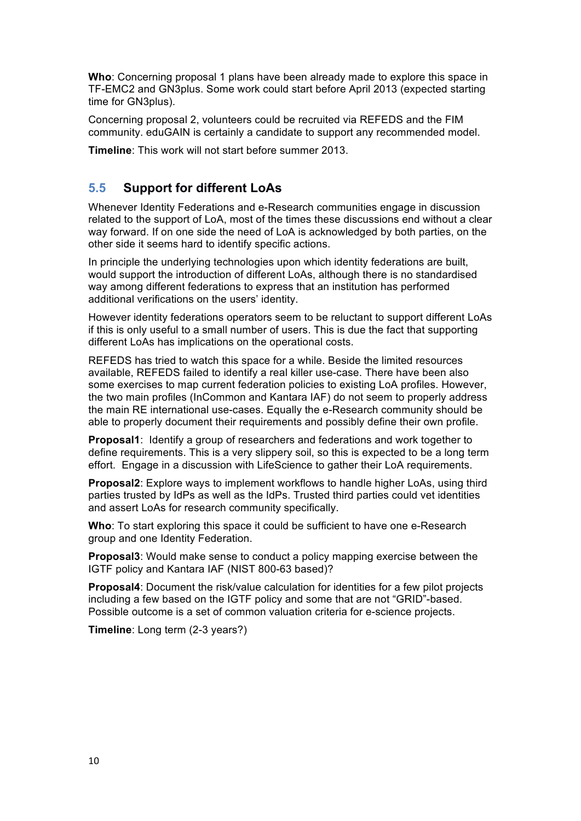**Who**: Concerning proposal 1 plans have been already made to explore this space in TF-EMC2 and GN3plus. Some work could start before April 2013 (expected starting time for GN3plus).

Concerning proposal 2, volunteers could be recruited via REFEDS and the FIM community. eduGAIN is certainly a candidate to support any recommended model.

**Timeline**: This work will not start before summer 2013.

#### **5.5 Support for different LoAs**

Whenever Identity Federations and e-Research communities engage in discussion related to the support of LoA, most of the times these discussions end without a clear way forward. If on one side the need of LoA is acknowledged by both parties, on the other side it seems hard to identify specific actions.

In principle the underlying technologies upon which identity federations are built, would support the introduction of different LoAs, although there is no standardised way among different federations to express that an institution has performed additional verifications on the users' identity.

However identity federations operators seem to be reluctant to support different LoAs if this is only useful to a small number of users. This is due the fact that supporting different LoAs has implications on the operational costs.

REFEDS has tried to watch this space for a while. Beside the limited resources available, REFEDS failed to identify a real killer use-case. There have been also some exercises to map current federation policies to existing LoA profiles. However, the two main profiles (InCommon and Kantara IAF) do not seem to properly address the main RE international use-cases. Equally the e-Research community should be able to properly document their requirements and possibly define their own profile.

**Proposal1**: Identify a group of researchers and federations and work together to define requirements. This is a very slippery soil, so this is expected to be a long term effort. Engage in a discussion with LifeScience to gather their LoA requirements.

**Proposal2**: Explore ways to implement workflows to handle higher LoAs, using third parties trusted by IdPs as well as the IdPs. Trusted third parties could vet identities and assert LoAs for research community specifically.

**Who**: To start exploring this space it could be sufficient to have one e-Research group and one Identity Federation.

**Proposal3**: Would make sense to conduct a policy mapping exercise between the IGTF policy and Kantara IAF (NIST 800-63 based)?

**Proposal4**: Document the risk/value calculation for identities for a few pilot projects including a few based on the IGTF policy and some that are not "GRID"-based. Possible outcome is a set of common valuation criteria for e-science projects.

**Timeline**: Long term (2-3 years?)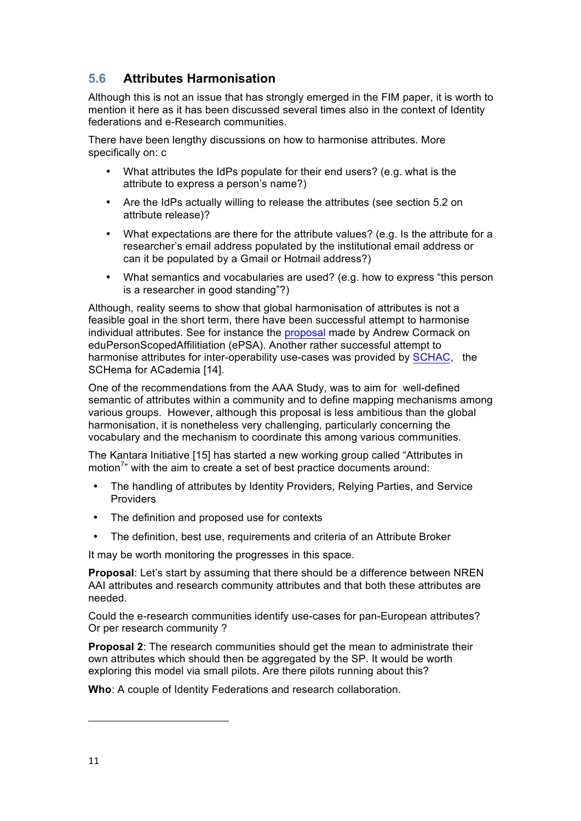### **5.6 Attributes Harmonisation**

Although this is not an issue that has strongly emerged in the FIM paper, it is worth to mention it here as it has been discussed several times also in the context of Identity federations and e-Research communities.

There have been lengthy discussions on how to harmonise attributes. More specifically on: c

- What attributes the IdPs populate for their end users? (e.g. what is the attribute to express a person's name?)
- Are the IdPs actually willing to release the attributes (see section 5.2 on attribute release)?
- What expectations are there for the attribute values? (e.g. Is the attribute for a researcher's email address populated by the institutional email address or can it be populated by a Gmail or Hotmail address?)
- What semantics and vocabularies are used? (e.g. how to express "this person is a researcher in good standing"?)

Although, reality seems to show that global harmonisation of attributes is not a feasible goal in the short term, there have been successful attempt to harmonise individual attributes. See for instance the proposal made by Andrew Cormack on eduPersonScopedAffilitiation (ePSA). Another rather successful attempt to harmonise attributes for inter-operability use-cases was provided by SCHAC, the SCHema for ACademia [14].

One of the recommendations from the AAA Study, was to aim for well-defined semantic of attributes within a community and to define mapping mechanisms among various groups. However, although this proposal is less ambitious than the global harmonisation, it is nonetheless very challenging, particularly concerning the vocabulary and the mechanism to coordinate this among various communities.

The Kantara Initiative [15] has started a new working group called "Attributes in motion<sup>7</sup>" with the aim to create a set of best practice documents around:

- The handling of attributes by Identity Providers, Relying Parties, and Service Providers
- The definition and proposed use for contexts
- The definition, best use, requirements and criteria of an Attribute Broker

It may be worth monitoring the progresses in this space.

**Proposal:** Let's start by assuming that there should be a difference between NREN AAI attributes and research community attributes and that both these attributes are needed.

Could the e-research communities identify use-cases for pan-European attributes? Or per research community ?

**Proposal 2**: The research communities should get the mean to administrate their own attributes which should then be aggregated by the SP. It would be worth exploring this model via small pilots. Are there pilots running about this?

**Who**: A couple of Identity Federations and research collaboration.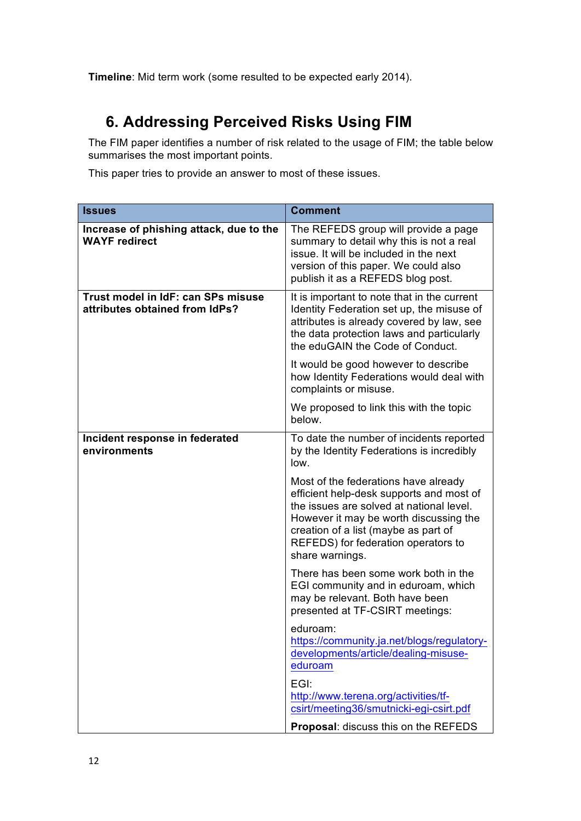**Timeline**: Mid term work (some resulted to be expected early 2014).

# **6. Addressing Perceived Risks Using FIM**

The FIM paper identifies a number of risk related to the usage of FIM; the table below summarises the most important points.

This paper tries to provide an answer to most of these issues.

| <b>Issues</b>                                                        | <b>Comment</b>                                                                                                                                                                                                                                                           |
|----------------------------------------------------------------------|--------------------------------------------------------------------------------------------------------------------------------------------------------------------------------------------------------------------------------------------------------------------------|
| Increase of phishing attack, due to the<br><b>WAYF</b> redirect      | The REFEDS group will provide a page<br>summary to detail why this is not a real<br>issue. It will be included in the next<br>version of this paper. We could also<br>publish it as a REFEDS blog post.                                                                  |
| Trust model in IdF: can SPs misuse<br>attributes obtained from IdPs? | It is important to note that in the current<br>Identity Federation set up, the misuse of<br>attributes is already covered by law, see<br>the data protection laws and particularly<br>the eduGAIN the Code of Conduct.                                                   |
|                                                                      | It would be good however to describe<br>how Identity Federations would deal with<br>complaints or misuse.                                                                                                                                                                |
|                                                                      | We proposed to link this with the topic<br>below.                                                                                                                                                                                                                        |
| Incident response in federated<br>environments                       | To date the number of incidents reported<br>by the Identity Federations is incredibly<br>low.                                                                                                                                                                            |
|                                                                      | Most of the federations have already<br>efficient help-desk supports and most of<br>the issues are solved at national level.<br>However it may be worth discussing the<br>creation of a list (maybe as part of<br>REFEDS) for federation operators to<br>share warnings. |
|                                                                      | There has been some work both in the<br>EGI community and in eduroam, which<br>may be relevant. Both have been<br>presented at TF-CSIRT meetings:                                                                                                                        |
|                                                                      | eduroam:<br>https://community.ja.net/blogs/regulatory-<br>developments/article/dealing-misuse-<br>eduroam                                                                                                                                                                |
|                                                                      | EGI:<br>http://www.terena.org/activities/tf-<br>csirt/meeting36/smutnicki-egi-csirt.pdf                                                                                                                                                                                  |
|                                                                      | Proposal: discuss this on the REFEDS                                                                                                                                                                                                                                     |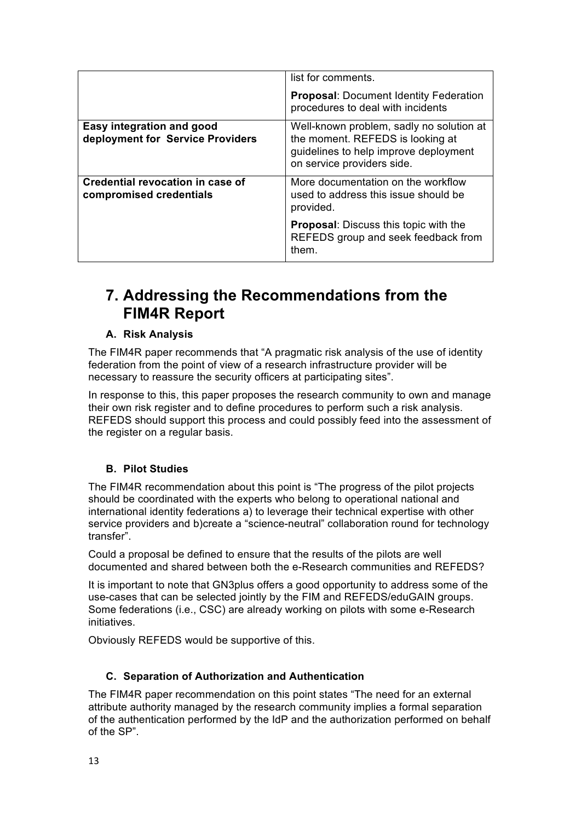|                                                               | list for comments.                                                                                                                                  |
|---------------------------------------------------------------|-----------------------------------------------------------------------------------------------------------------------------------------------------|
|                                                               | <b>Proposal: Document Identity Federation</b><br>procedures to deal with incidents                                                                  |
| Easy integration and good<br>deployment for Service Providers | Well-known problem, sadly no solution at<br>the moment. REFEDS is looking at<br>guidelines to help improve deployment<br>on service providers side. |
| Credential revocation in case of<br>compromised credentials   | More documentation on the workflow<br>used to address this issue should be<br>provided.                                                             |
|                                                               | <b>Proposal:</b> Discuss this topic with the<br>REFEDS group and seek feedback from<br>them.                                                        |

### **7. Addressing the Recommendations from the FIM4R Report**

#### **A. Risk Analysis**

The FIM4R paper recommends that "A pragmatic risk analysis of the use of identity federation from the point of view of a research infrastructure provider will be necessary to reassure the security officers at participating sites".

In response to this, this paper proposes the research community to own and manage their own risk register and to define procedures to perform such a risk analysis. REFEDS should support this process and could possibly feed into the assessment of the register on a regular basis.

#### **B. Pilot Studies**

The FIM4R recommendation about this point is "The progress of the pilot projects should be coordinated with the experts who belong to operational national and international identity federations a) to leverage their technical expertise with other service providers and b)create a "science-neutral" collaboration round for technology transfer".

Could a proposal be defined to ensure that the results of the pilots are well documented and shared between both the e-Research communities and REFEDS?

It is important to note that GN3plus offers a good opportunity to address some of the use-cases that can be selected jointly by the FIM and REFEDS/eduGAIN groups. Some federations (i.e., CSC) are already working on pilots with some e-Research initiatives.

Obviously REFEDS would be supportive of this.

#### **C. Separation of Authorization and Authentication**

The FIM4R paper recommendation on this point states "The need for an external attribute authority managed by the research community implies a formal separation of the authentication performed by the IdP and the authorization performed on behalf of the SP".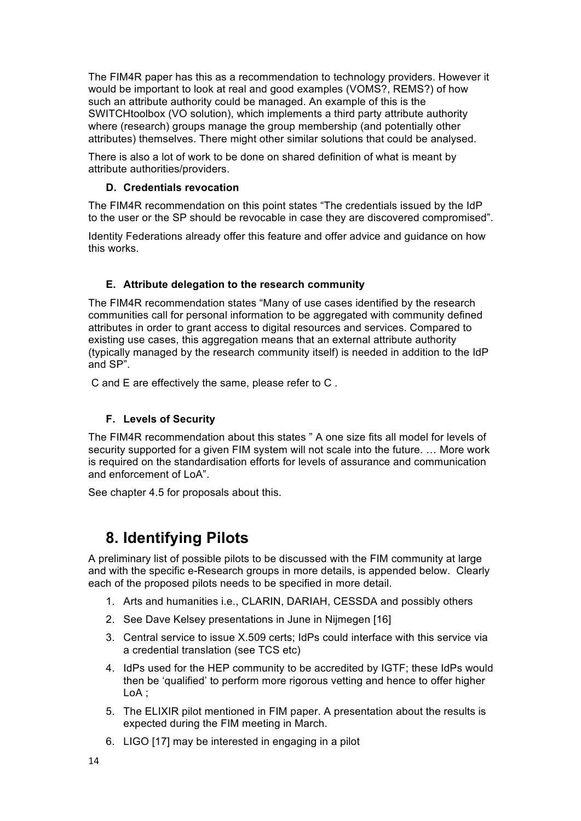The FIM4R paper has this as a recommendation to technology providers. However it would be important to look at real and good examples (VOMS?, REMS?) of how such an attribute authority could be managed. An example of this is the SWITCHtoolbox (VO solution), which implements a third party attribute authority where (research) groups manage the group membership (and potentially other attributes) themselves. There might other similar solutions that could be analysed.

There is also a lot of work to be done on shared definition of what is meant by attribute authorities/providers.

#### **D. Credentials revocation**

The FIM4R recommendation on this point states "The credentials issued by the IdP to the user or the SP should be revocable in case they are discovered compromised".

Identity Federations already offer this feature and offer advice and guidance on how this works.

#### **E. Attribute delegation to the research community**

The FIM4R recommendation states "Many of use cases identified by the research communities call for personal information to be aggregated with community defined attributes in order to grant access to digital resources and services. Compared to existing use cases, this aggregation means that an external attribute authority (typically managed by the research community itself) is needed in addition to the IdP and SP".

C and E are effectively the same, please refer to C .

#### **F. Levels of Security**

The FIM4R recommendation about this states " A one size fits all model for levels of security supported for a given FIM system will not scale into the future. … More work is required on the standardisation efforts for levels of assurance and communication and enforcement of LoA".

See chapter 4.5 for proposals about this.

### **8. Identifying Pilots**

A preliminary list of possible pilots to be discussed with the FIM community at large and with the specific e-Research groups in more details, is appended below. Clearly each of the proposed pilots needs to be specified in more detail.

- 1. Arts and humanities i.e., CLARIN, DARIAH, CESSDA and possibly others
- 2. See Dave Kelsey presentations in June in Nijmegen [16]
- 3. Central service to issue X.509 certs; IdPs could interface with this service via a credential translation (see TCS etc)
- 4. IdPs used for the HEP community to be accredited by IGTF; these IdPs would then be 'qualified' to perform more rigorous vetting and hence to offer higher LoA ;
- 5. The ELIXIR pilot mentioned in FIM paper. A presentation about the results is expected during the FIM meeting in March.
- 6. LIGO [17] may be interested in engaging in a pilot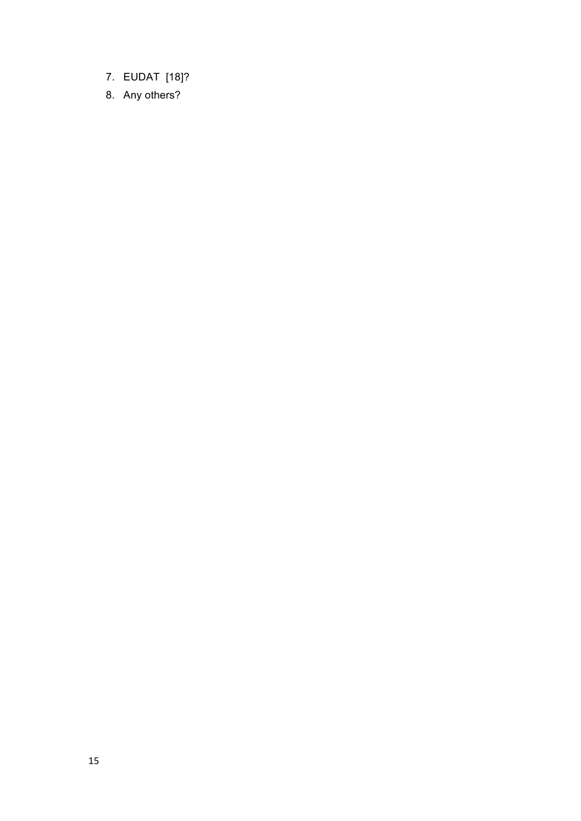- 7. EUDAT [18]?
- 8. Any others?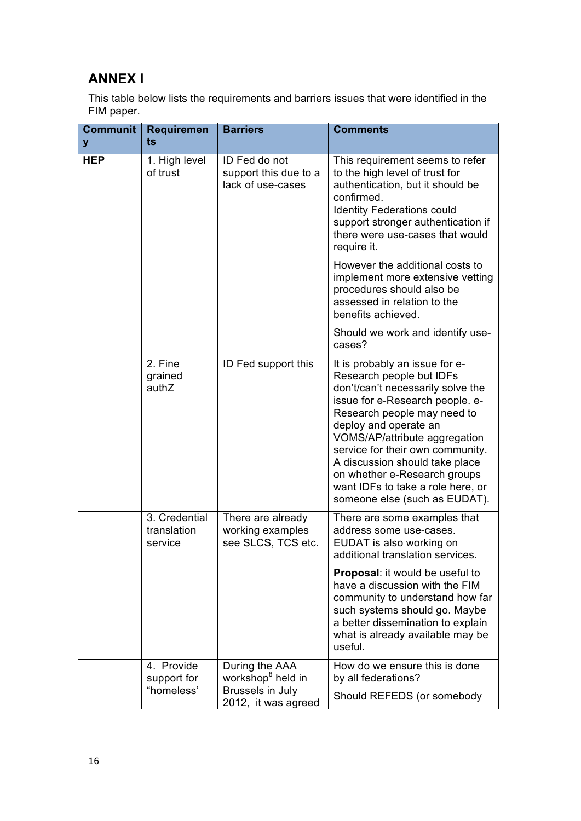### **ANNEX I**

This table below lists the requirements and barriers issues that were identified in the FIM paper.

| <b>Communit</b><br>y | <b>Requiremen</b><br>ts                 | <b>Barriers</b>                                                                                   | <b>Comments</b>                                                                                                                                                                                                                                                                                                                                                                                         |
|----------------------|-----------------------------------------|---------------------------------------------------------------------------------------------------|---------------------------------------------------------------------------------------------------------------------------------------------------------------------------------------------------------------------------------------------------------------------------------------------------------------------------------------------------------------------------------------------------------|
| <b>HEP</b>           | 1. High level<br>of trust               | ID Fed do not<br>support this due to a<br>lack of use-cases                                       | This requirement seems to refer<br>to the high level of trust for<br>authentication, but it should be<br>confirmed.<br><b>Identity Federations could</b><br>support stronger authentication if<br>there were use-cases that would<br>require it.                                                                                                                                                        |
|                      |                                         |                                                                                                   | However the additional costs to<br>implement more extensive vetting<br>procedures should also be<br>assessed in relation to the<br>benefits achieved.                                                                                                                                                                                                                                                   |
|                      |                                         |                                                                                                   | Should we work and identify use-<br>cases?                                                                                                                                                                                                                                                                                                                                                              |
|                      | 2. Fine<br>grained<br>authZ             | ID Fed support this                                                                               | It is probably an issue for e-<br>Research people but IDFs<br>don't/can't necessarily solve the<br>issue for e-Research people. e-<br>Research people may need to<br>deploy and operate an<br>VOMS/AP/attribute aggregation<br>service for their own community.<br>A discussion should take place<br>on whether e-Research groups<br>want IDFs to take a role here, or<br>someone else (such as EUDAT). |
|                      | 3. Credential<br>translation<br>service | There are already<br>working examples<br>see SLCS, TCS etc.                                       | There are some examples that<br>address some use-cases.<br>EUDAT is also working on<br>additional translation services.                                                                                                                                                                                                                                                                                 |
|                      |                                         |                                                                                                   | Proposal: it would be useful to<br>have a discussion with the FIM<br>community to understand how far<br>such systems should go. Maybe<br>a better dissemination to explain<br>what is already available may be<br>useful.                                                                                                                                                                               |
|                      | 4. Provide<br>support for<br>"homeless' | During the AAA<br>workshop <sup>8</sup> held in<br><b>Brussels in July</b><br>2012, it was agreed | How do we ensure this is done<br>by all federations?<br>Should REFEDS (or somebody                                                                                                                                                                                                                                                                                                                      |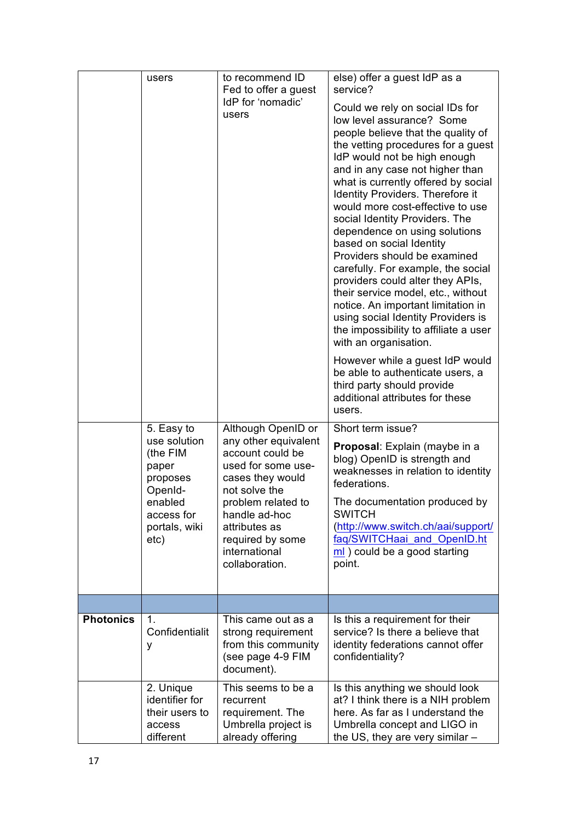|                  | users                                                                                                                    | to recommend ID<br>Fed to offer a guest<br>IdP for 'nomadic'<br>users                                                                                                                                                                    | else) offer a guest IdP as a<br>service?<br>Could we rely on social IDs for<br>low level assurance? Some<br>people believe that the quality of<br>the vetting procedures for a guest<br>IdP would not be high enough<br>and in any case not higher than<br>what is currently offered by social<br>Identity Providers. Therefore it<br>would more cost-effective to use<br>social Identity Providers. The<br>dependence on using solutions<br>based on social Identity<br>Providers should be examined<br>carefully. For example, the social<br>providers could alter they APIs,<br>their service model, etc., without<br>notice. An important limitation in<br>using social Identity Providers is<br>the impossibility to affiliate a user<br>with an organisation.<br>However while a guest IdP would<br>be able to authenticate users, a<br>third party should provide<br>additional attributes for these<br>users. |
|------------------|--------------------------------------------------------------------------------------------------------------------------|------------------------------------------------------------------------------------------------------------------------------------------------------------------------------------------------------------------------------------------|-----------------------------------------------------------------------------------------------------------------------------------------------------------------------------------------------------------------------------------------------------------------------------------------------------------------------------------------------------------------------------------------------------------------------------------------------------------------------------------------------------------------------------------------------------------------------------------------------------------------------------------------------------------------------------------------------------------------------------------------------------------------------------------------------------------------------------------------------------------------------------------------------------------------------|
|                  | 5. Easy to<br>use solution<br>(the FIM<br>paper<br>proposes<br>OpenId-<br>enabled<br>access for<br>portals, wiki<br>etc) | Although OpenID or<br>any other equivalent<br>account could be<br>used for some use-<br>cases they would<br>not solve the<br>problem related to<br>handle ad-hoc<br>attributes as<br>required by some<br>international<br>collaboration. | Short term issue?<br>Proposal: Explain (maybe in a<br>blog) OpenID is strength and<br>weaknesses in relation to identity<br>federations.<br>The documentation produced by<br><b>SWITCH</b><br>(http://www.switch.ch/aai/support/<br>faq/SWITCHaai_and_OpenID.ht<br>ml) could be a good starting<br>point.                                                                                                                                                                                                                                                                                                                                                                                                                                                                                                                                                                                                             |
|                  |                                                                                                                          |                                                                                                                                                                                                                                          |                                                                                                                                                                                                                                                                                                                                                                                                                                                                                                                                                                                                                                                                                                                                                                                                                                                                                                                       |
| <b>Photonics</b> | 1.<br>Confidentialit<br>y                                                                                                | This came out as a<br>strong requirement<br>from this community<br>(see page 4-9 FIM<br>document).                                                                                                                                       | Is this a requirement for their<br>service? Is there a believe that<br>identity federations cannot offer<br>confidentiality?                                                                                                                                                                                                                                                                                                                                                                                                                                                                                                                                                                                                                                                                                                                                                                                          |
|                  | 2. Unique<br>identifier for<br>their users to<br>access<br>different                                                     | This seems to be a<br>recurrent<br>requirement. The<br>Umbrella project is<br>already offering                                                                                                                                           | Is this anything we should look<br>at? I think there is a NIH problem<br>here. As far as I understand the<br>Umbrella concept and LIGO in<br>the US, they are very similar $-$                                                                                                                                                                                                                                                                                                                                                                                                                                                                                                                                                                                                                                                                                                                                        |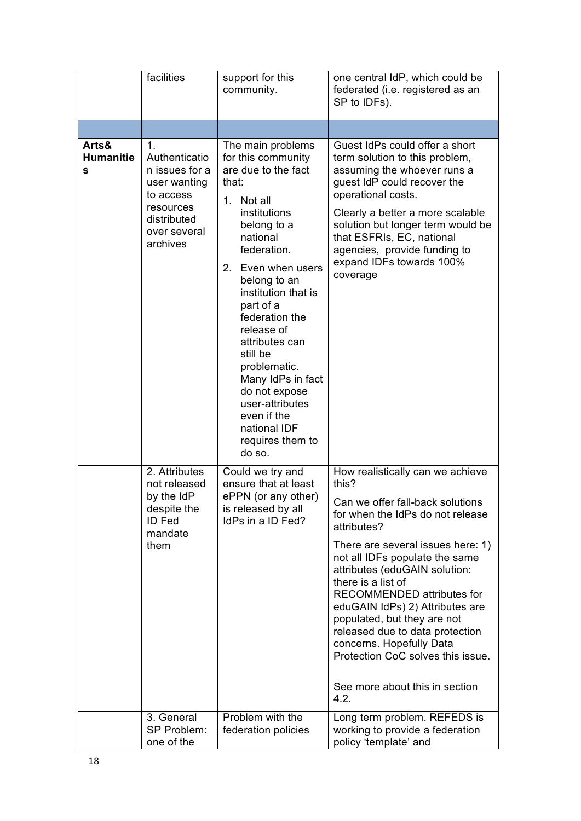|                                | facilities                                                                                                                            | support for this<br>community.                                                                                                                                                                                                                                                                                                                                                                                                   | one central IdP, which could be<br>federated (i.e. registered as an<br>SP to IDFs).                                                                                                                                                                                                                                                                                                                                                                                                                          |
|--------------------------------|---------------------------------------------------------------------------------------------------------------------------------------|----------------------------------------------------------------------------------------------------------------------------------------------------------------------------------------------------------------------------------------------------------------------------------------------------------------------------------------------------------------------------------------------------------------------------------|--------------------------------------------------------------------------------------------------------------------------------------------------------------------------------------------------------------------------------------------------------------------------------------------------------------------------------------------------------------------------------------------------------------------------------------------------------------------------------------------------------------|
|                                |                                                                                                                                       |                                                                                                                                                                                                                                                                                                                                                                                                                                  |                                                                                                                                                                                                                                                                                                                                                                                                                                                                                                              |
| Arts&<br><b>Humanitie</b><br>s | $\mathbf 1$ .<br>Authenticatio<br>n issues for a<br>user wanting<br>to access<br>resources<br>distributed<br>over several<br>archives | The main problems<br>for this community<br>are due to the fact<br>that:<br>Not all<br>1.<br>institutions<br>belong to a<br>national<br>federation.<br>2. Even when users<br>belong to an<br>institution that is<br>part of a<br>federation the<br>release of<br>attributes can<br>still be<br>problematic.<br>Many IdPs in fact<br>do not expose<br>user-attributes<br>even if the<br>national IDF<br>requires them to<br>do so. | Guest IdPs could offer a short<br>term solution to this problem,<br>assuming the whoever runs a<br>guest IdP could recover the<br>operational costs.<br>Clearly a better a more scalable<br>solution but longer term would be<br>that ESFRIs, EC, national<br>agencies, provide funding to<br>expand IDFs towards 100%<br>coverage                                                                                                                                                                           |
|                                | 2. Attributes<br>not released<br>by the IdP<br>despite the<br><b>ID Fed</b><br>mandate<br>them                                        | Could we try and<br>ensure that at least<br>ePPN (or any other)<br>is released by all<br>IdPs in a ID Fed?                                                                                                                                                                                                                                                                                                                       | How realistically can we achieve<br>this?<br>Can we offer fall-back solutions<br>for when the IdPs do not release<br>attributes?<br>There are several issues here: 1)<br>not all IDFs populate the same<br>attributes (eduGAIN solution:<br>there is a list of<br>RECOMMENDED attributes for<br>eduGAIN IdPs) 2) Attributes are<br>populated, but they are not<br>released due to data protection<br>concerns. Hopefully Data<br>Protection CoC solves this issue.<br>See more about this in section<br>4.2. |
|                                | 3. General<br>SP Problem:<br>one of the                                                                                               | Problem with the<br>federation policies                                                                                                                                                                                                                                                                                                                                                                                          | Long term problem. REFEDS is<br>working to provide a federation<br>policy 'template' and                                                                                                                                                                                                                                                                                                                                                                                                                     |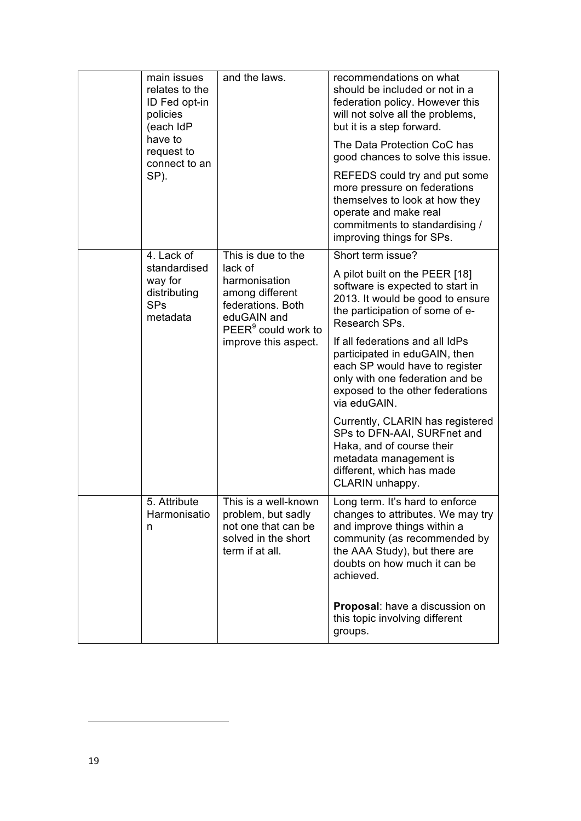|  | main issues<br>relates to the<br>ID Fed opt-in<br>policies<br>(each IdP<br>have to<br>request to<br>connect to an<br>SP). | and the laws.                                                                                                                                                    | recommendations on what<br>should be included or not in a<br>federation policy. However this<br>will not solve all the problems,<br>but it is a step forward.<br>The Data Protection CoC has<br>good chances to solve this issue.<br>REFEDS could try and put some<br>more pressure on federations<br>themselves to look at how they<br>operate and make real<br>commitments to standardising /<br>improving things for SPs.                                                                                                                           |
|--|---------------------------------------------------------------------------------------------------------------------------|------------------------------------------------------------------------------------------------------------------------------------------------------------------|--------------------------------------------------------------------------------------------------------------------------------------------------------------------------------------------------------------------------------------------------------------------------------------------------------------------------------------------------------------------------------------------------------------------------------------------------------------------------------------------------------------------------------------------------------|
|  | 4. Lack of<br>standardised<br>way for<br>distributing<br><b>SPs</b><br>metadata                                           | This is due to the<br>lack of<br>harmonisation<br>among different<br>federations. Both<br>eduGAIN and<br>PEER <sup>9</sup> could work to<br>improve this aspect. | Short term issue?<br>A pilot built on the PEER [18]<br>software is expected to start in<br>2013. It would be good to ensure<br>the participation of some of e-<br>Research SPs.<br>If all federations and all IdPs<br>participated in eduGAIN, then<br>each SP would have to register<br>only with one federation and be<br>exposed to the other federations<br>via eduGAIN.<br>Currently, CLARIN has registered<br>SPs to DFN-AAI, SURFnet and<br>Haka, and of course their<br>metadata management is<br>different, which has made<br>CLARIN unhappy. |
|  | 5. Attribute<br>Harmonisatio<br>n                                                                                         | This is a well-known<br>problem, but sadly<br>not one that can be<br>solved in the short<br>term if at all.                                                      | Long term. It's hard to enforce<br>changes to attributes. We may try<br>and improve things within a<br>community (as recommended by<br>the AAA Study), but there are<br>doubts on how much it can be<br>achieved.<br>Proposal: have a discussion on<br>this topic involving different<br>groups.                                                                                                                                                                                                                                                       |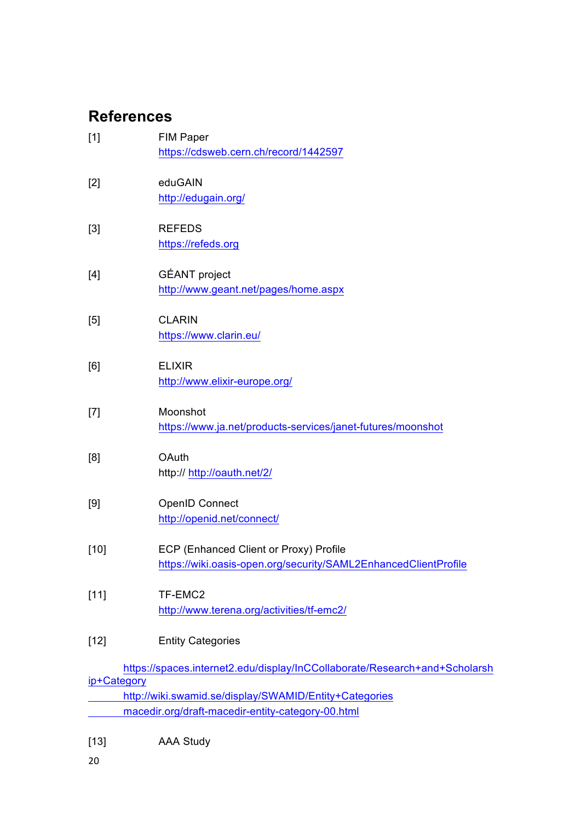# **References**

| $[1]$                                                                                                                                                                                                      | <b>FIM Paper</b><br>https://cdsweb.cern.ch/record/1442597                                                 |
|------------------------------------------------------------------------------------------------------------------------------------------------------------------------------------------------------------|-----------------------------------------------------------------------------------------------------------|
| [2]                                                                                                                                                                                                        | eduGAIN<br>http://edugain.org/                                                                            |
| [3]                                                                                                                                                                                                        | <b>REFEDS</b><br>https://refeds.org                                                                       |
| [4]                                                                                                                                                                                                        | <b>GÉANT</b> project<br>http://www.geant.net/pages/home.aspx                                              |
| $[5] % \includegraphics[width=0.9\columnwidth]{figures/fig_10.pdf} \caption{Schematic diagram of the top of the top of the top of the right.} \label{fig:fig_10.pdf}$                                      | <b>CLARIN</b><br>https://www.clarin.eu/                                                                   |
| [6]                                                                                                                                                                                                        | <b>ELIXIR</b><br>http://www.elixir-europe.org/                                                            |
| $[7] % \includegraphics[width=0.9\columnwidth]{figures/fig_10.pdf} \caption{The 3D (black) model for the estimators in the left and right. The left and right is the same as in the right.} \label{fig:2}$ | Moonshot<br>https://www.ja.net/products-services/janet-futures/moonshot                                   |
| [8]                                                                                                                                                                                                        | OAuth<br>http:// http://oauth.net/2/                                                                      |
| [9]                                                                                                                                                                                                        | <b>OpenID Connect</b><br>http://openid.net/connect/                                                       |
| $[10]$                                                                                                                                                                                                     | ECP (Enhanced Client or Proxy) Profile<br>https://wiki.oasis-open.org/security/SAML2EnhancedClientProfile |
| $[11]$                                                                                                                                                                                                     | TF-EMC2<br>http://www.terena.org/activities/tf-emc2/                                                      |
| $[12]$                                                                                                                                                                                                     | <b>Entity Categories</b>                                                                                  |
|                                                                                                                                                                                                            | https://spaces.internet2.edu/display/InCCollaborate/Research+and+Scholarsh                                |
| ip+Category                                                                                                                                                                                                | http://wiki.swamid.se/display/SWAMID/Entity+Categories                                                    |
|                                                                                                                                                                                                            | macedir.org/draft-macedir-entity-category-00.html                                                         |
|                                                                                                                                                                                                            |                                                                                                           |

[13] AAA Study